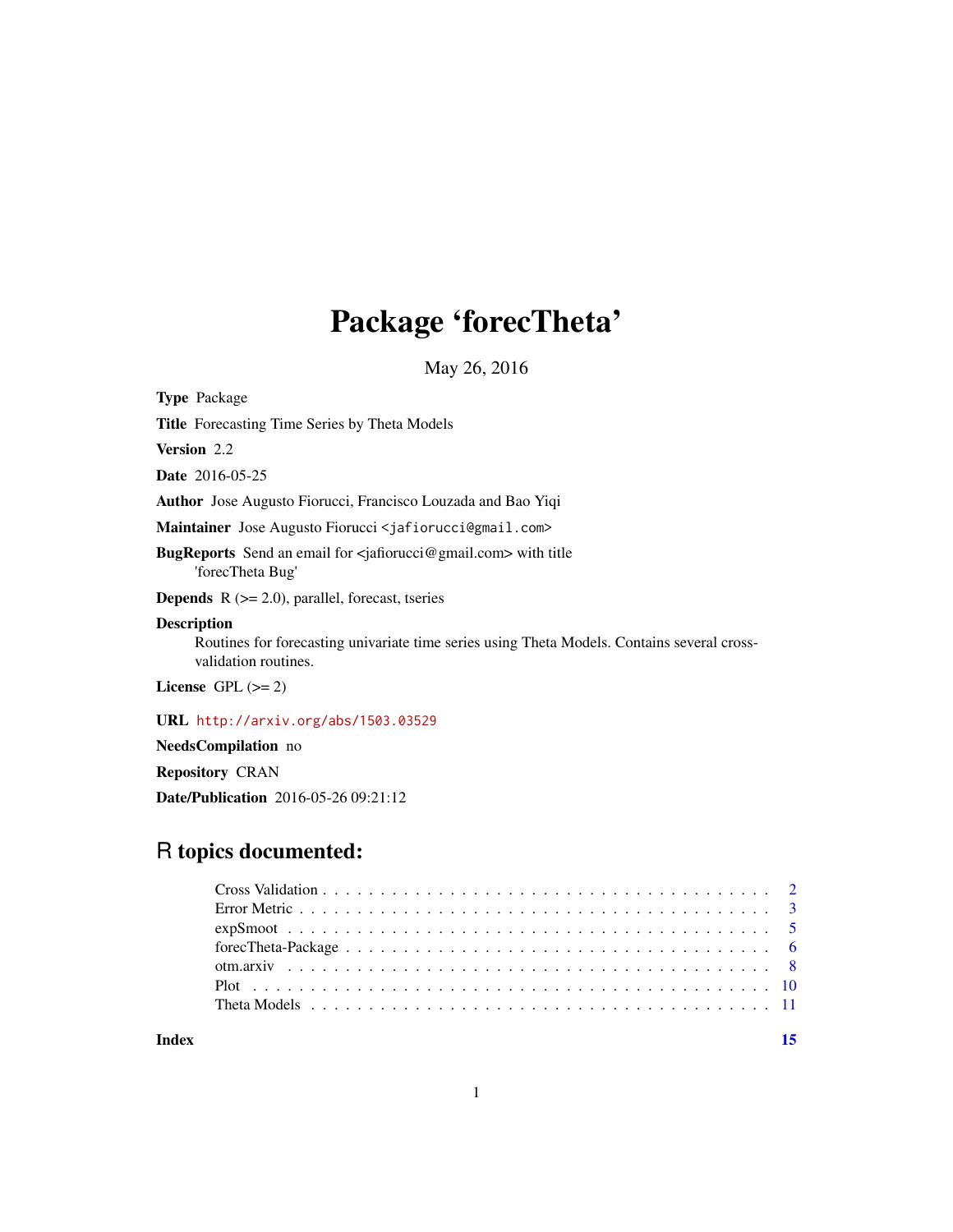## Package 'forecTheta'

May 26, 2016

<span id="page-0-0"></span>Type Package

Title Forecasting Time Series by Theta Models

Version 2.2

Date 2016-05-25

Author Jose Augusto Fiorucci, Francisco Louzada and Bao Yiqi

Maintainer Jose Augusto Fiorucci <jafiorucci@gmail.com>

BugReports Send an email for <jafiorucci@gmail.com> with title 'forecTheta Bug'

**Depends**  $R$  ( $>= 2.0$ ), parallel, forecast, tseries

### Description

Routines for forecasting univariate time series using Theta Models. Contains several crossvalidation routines.

License GPL  $(>= 2)$ 

URL <http://arxiv.org/abs/1503.03529>

NeedsCompilation no

Repository CRAN

Date/Publication 2016-05-26 09:21:12

## R topics documented:

**Index** [15](#page-14-0)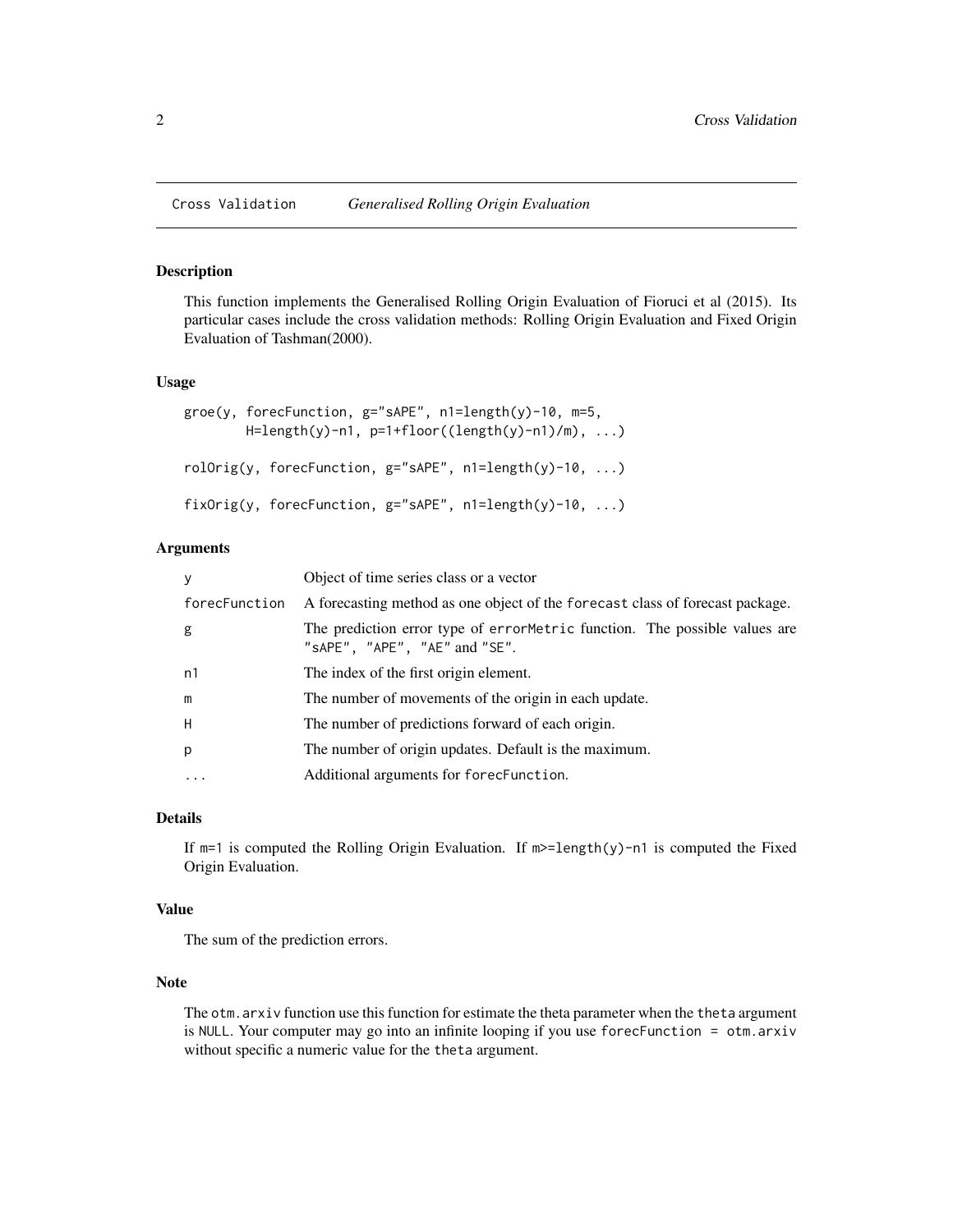<span id="page-1-0"></span>

#### <span id="page-1-1"></span>Description

This function implements the Generalised Rolling Origin Evaluation of Fioruci et al (2015). Its particular cases include the cross validation methods: Rolling Origin Evaluation and Fixed Origin Evaluation of Tashman(2000).

#### Usage

```
groe(y, forecFunction, g="sAPE", n1=length(y)-10, m=5,
       H = length(y)-n1, p=1+floor((length(y)-n1)/m), ...rolOrig(y, forecFunction, g="sAPE", n1=length(y)-10, ...)
fixOrig(y, forecFunction, g="sAPE", n1=length(y)-10, ...)
```
## Arguments

| У             | Object of time series class or a vector                                                                                     |
|---------------|-----------------------------------------------------------------------------------------------------------------------------|
| forecFunction | A forecasting method as one object of the forecast class of forecast package.                                               |
| g             | The prediction error type of errormetric function. The possible values are<br>" $s$ APE", " $A$ PE", " $A$ E" and " $S$ E". |
| n1            | The index of the first origin element.                                                                                      |
| m             | The number of movements of the origin in each update.                                                                       |
| H             | The number of predictions forward of each origin.                                                                           |
| p             | The number of origin updates. Default is the maximum.                                                                       |
| .             | Additional arguments for forecFunction.                                                                                     |

#### Details

If  $m=1$  is computed the Rolling Origin Evaluation. If  $m>=$ length(y)-n1 is computed the Fixed Origin Evaluation.

## Value

The sum of the prediction errors.

## Note

The otm.arxiv function use this function for estimate the theta parameter when the theta argument is NULL. Your computer may go into an infinite looping if you use forecFunction = otm.arxiv without specific a numeric value for the theta argument.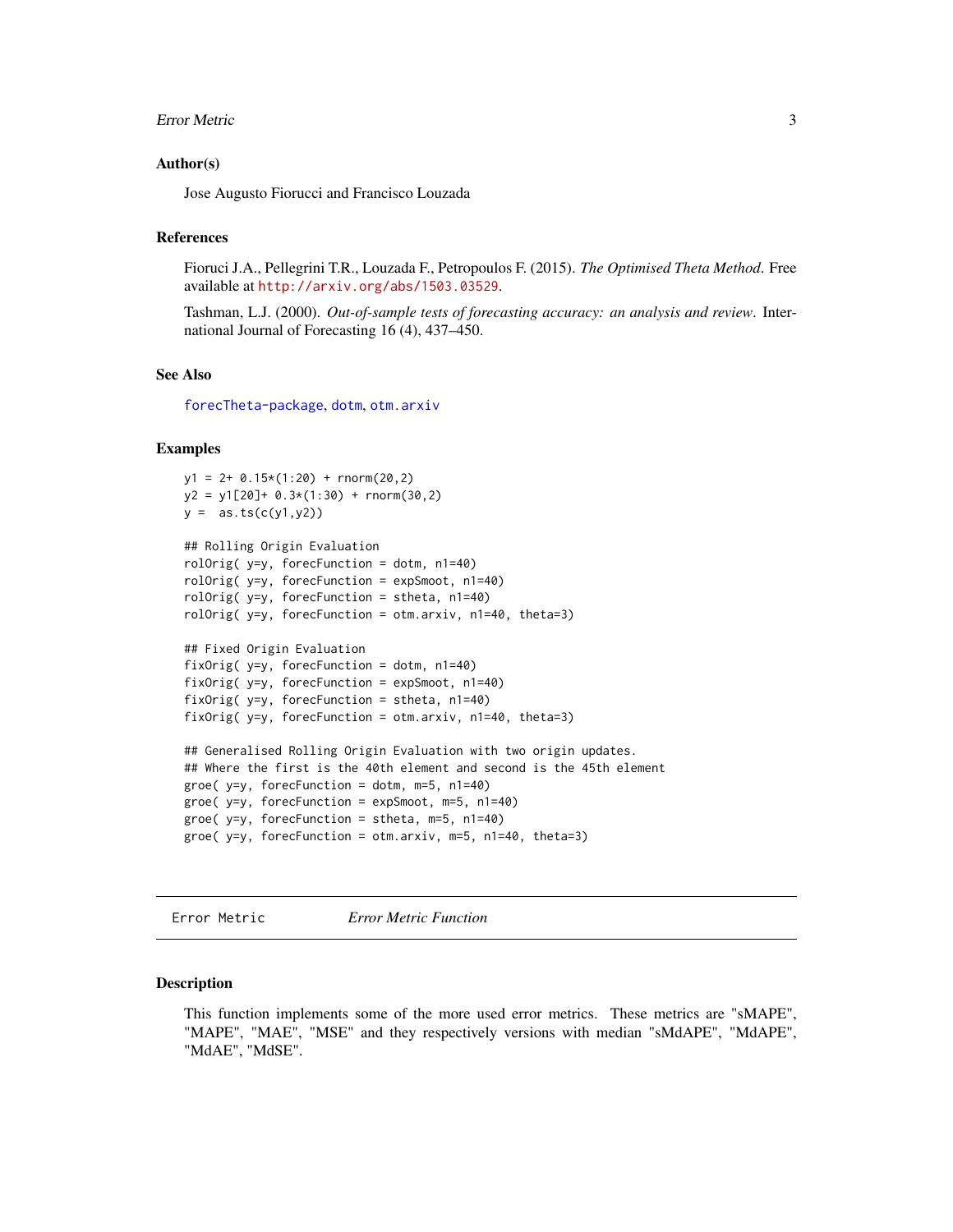#### <span id="page-2-0"></span>Error Metric 3

#### Author(s)

Jose Augusto Fiorucci and Francisco Louzada

#### References

Fioruci J.A., Pellegrini T.R., Louzada F., Petropoulos F. (2015). *The Optimised Theta Method*. Free available at <http://arxiv.org/abs/1503.03529>.

Tashman, L.J. (2000). *Out-of-sample tests of forecasting accuracy: an analysis and review*. International Journal of Forecasting 16 (4), 437–450.

## See Also

[forecTheta-package](#page-5-1), [dotm](#page-10-1), [otm.arxiv](#page-7-1)

#### Examples

```
y1 = 2+ 0.15*(1:20) + rnorm(20,2)
y2 = y1[20] + 0.3*(1:30) + rnorm(30,2)y = as.ts(c(y1, y2))## Rolling Origin Evaluation
rolOrig( y=y, forecFunction = dotm, n1=40)
rolOrig( y=y, forecFunction = expSmoot, n1=40)
rolOrig( y=y, forecFunction = stheta, n1=40)
rolOrig( y=y, forecFunction = otm.arxiv, n1=40, theta=3)
## Fixed Origin Evaluation
fixOrig( y=y, forecFunction = dotm, n1=40)
fixOrig( y=y, forecFunction = expSmoot, n1=40)
fixOrig( y=y, forecFunction = stheta, n1=40)
fixOrig( y=y, forecFunction = otm.arxiv, n1=40, theta=3)
## Generalised Rolling Origin Evaluation with two origin updates.
## Where the first is the 40th element and second is the 45th element
groe(y=y, forecFunction = dotm, m=5, n1=40)
groe( y=y, forecFunction = expSmoot, m=5, n1=40)
groe( y=y, forecFunction = stheta, m=5, n1=40)
groe( y=y, forecFunction = otm.arxiv, m=5, n1=40, theta=3)
```
Error Metric *Error Metric Function*

#### <span id="page-2-1"></span>Description

This function implements some of the more used error metrics. These metrics are "sMAPE", "MAPE", "MAE", "MSE" and they respectively versions with median "sMdAPE", "MdAPE", "MdAE", "MdSE".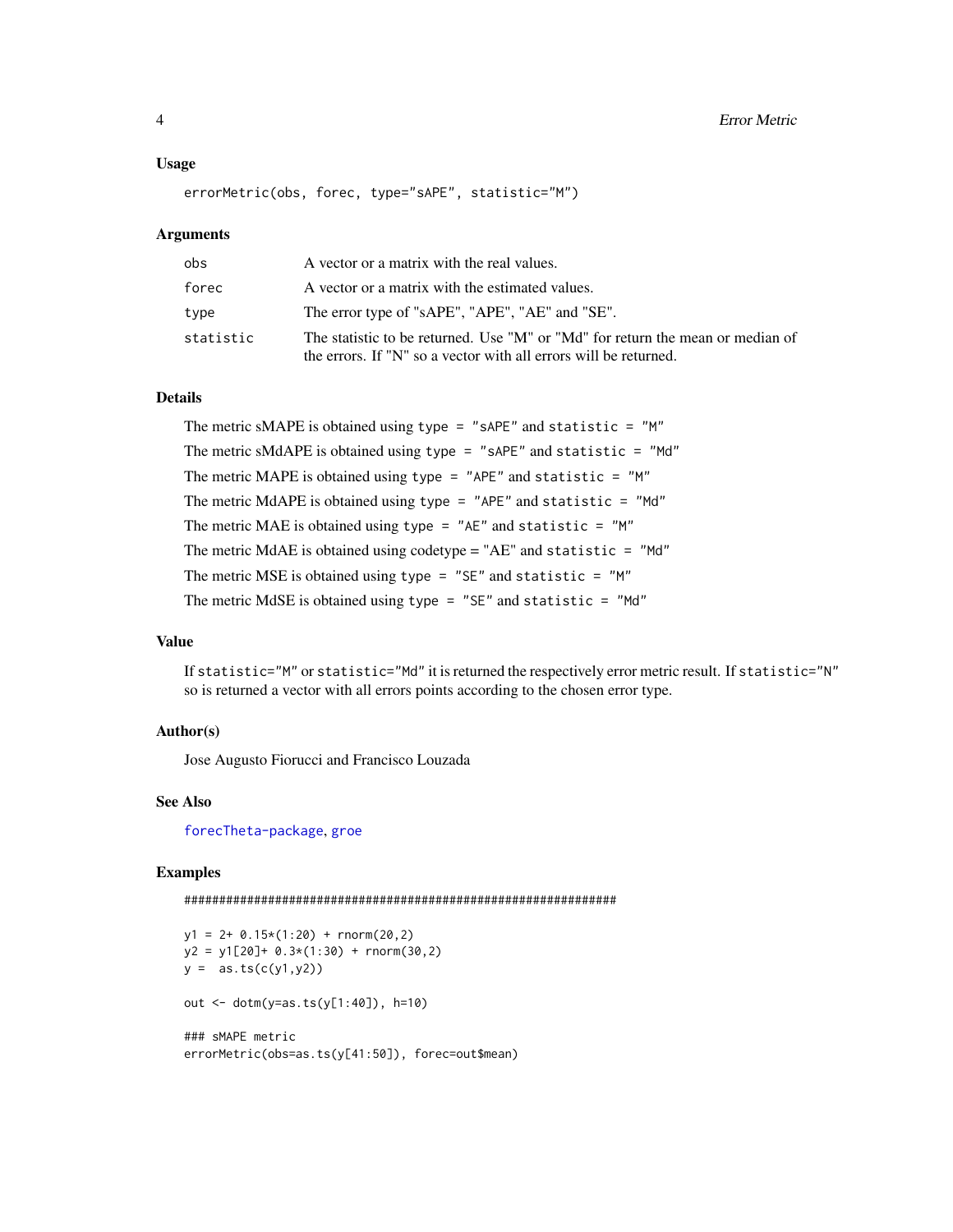#### <span id="page-3-0"></span>Usage

errorMetric(obs, forec, type="sAPE", statistic="M")

#### Arguments

| obs       | A vector or a matrix with the real values.                                                                                                         |
|-----------|----------------------------------------------------------------------------------------------------------------------------------------------------|
| forec     | A vector or a matrix with the estimated values.                                                                                                    |
| type      | The error type of "sAPE", "APE", "AE" and "SE".                                                                                                    |
| statistic | The statistic to be returned. Use "M" or "Md" for return the mean or median of<br>the errors. If "N" so a vector with all errors will be returned. |

#### Details

The metric sMAPE is obtained using type = "sAPE" and statistic = "M" The metric sMdAPE is obtained using type = "sAPE" and statistic = "Md" The metric MAPE is obtained using type =  $"$ APE" and statistic =  $"$ M" The metric MdAPE is obtained using type =  $"$ APE" and statistic =  $"$ Md" The metric MAE is obtained using type =  $"AE"$  and statistic =  $"M"$ The metric MdAE is obtained using codetype = "AE" and statistic = "Md" The metric MSE is obtained using type =  $"SE"$  and statistic =  $"M"$ The metric MdSE is obtained using type = "SE" and statistic = "Md"

## Value

If statistic="M" or statistic="Md" it is returned the respectively error metric result. If statistic="N" so is returned a vector with all errors points according to the chosen error type.

## Author(s)

Jose Augusto Fiorucci and Francisco Louzada

### See Also

[forecTheta-package](#page-5-1), [groe](#page-1-1)

```
##############################################################
```

```
y1 = 2 + 0.15*(1:20) + \text{rnorm}(20,2)y2 = y1[20]+ 0.3*(1:30) + rnorm(30,2)y = as.ts(c(y1, y2))out <- dotm(y=as.ts(y[1:40]), h=10)
### sMAPE metric
errorMetric(obs=as.ts(y[41:50]), forec=out$mean)
```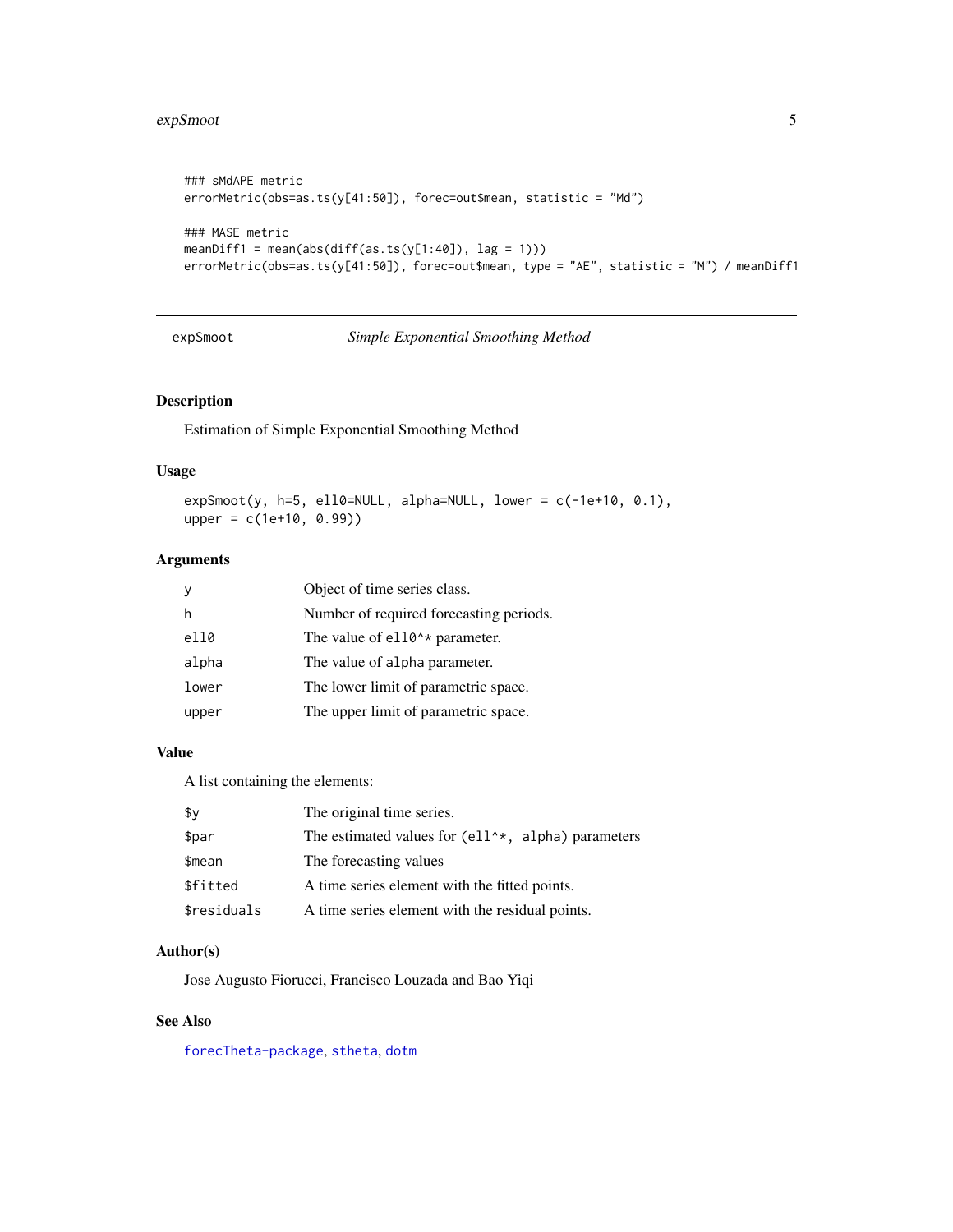#### <span id="page-4-0"></span>expSmoot 55

```
### sMdAPE metric
errorMetric(obs=as.ts(y[41:50]), forec=out$mean, statistic = "Md")
### MASE metric
meanDiff1 = mean(abs(diff(as.ts(y[1:40]), lag = 1))))errorMetric(obs=as.ts(y[41:50]), forec=out$mean, type = "AE", statistic = "M") / meanDiff1
```
expSmoot *Simple Exponential Smoothing Method*

## Description

Estimation of Simple Exponential Smoothing Method

## Usage

 $expSmoot(y, h=5, ell0=NULL, alpha=NULL, lower = c(-1e+10, 0.1),$ upper = c(1e+10, 0.99))

## Arguments

| <b>V</b> | Object of time series class.               |
|----------|--------------------------------------------|
| h        | Number of required forecasting periods.    |
| el10     | The value of e110 <sup>**</sup> parameter. |
| alpha    | The value of alpha parameter.              |
| lower    | The lower limit of parametric space.       |
| upper    | The upper limit of parametric space.       |

## Value

A list containing the elements:

| \$v         | The original time series.                             |
|-------------|-------------------------------------------------------|
| \$par       | The estimated values for $(e11^**, a1pha)$ parameters |
| \$mean      | The forecasting values                                |
| \$fitted    | A time series element with the fitted points.         |
| \$residuals | A time series element with the residual points.       |

## Author(s)

Jose Augusto Fiorucci, Francisco Louzada and Bao Yiqi

#### See Also

[forecTheta-package](#page-5-1), [stheta](#page-10-1), [dotm](#page-10-1)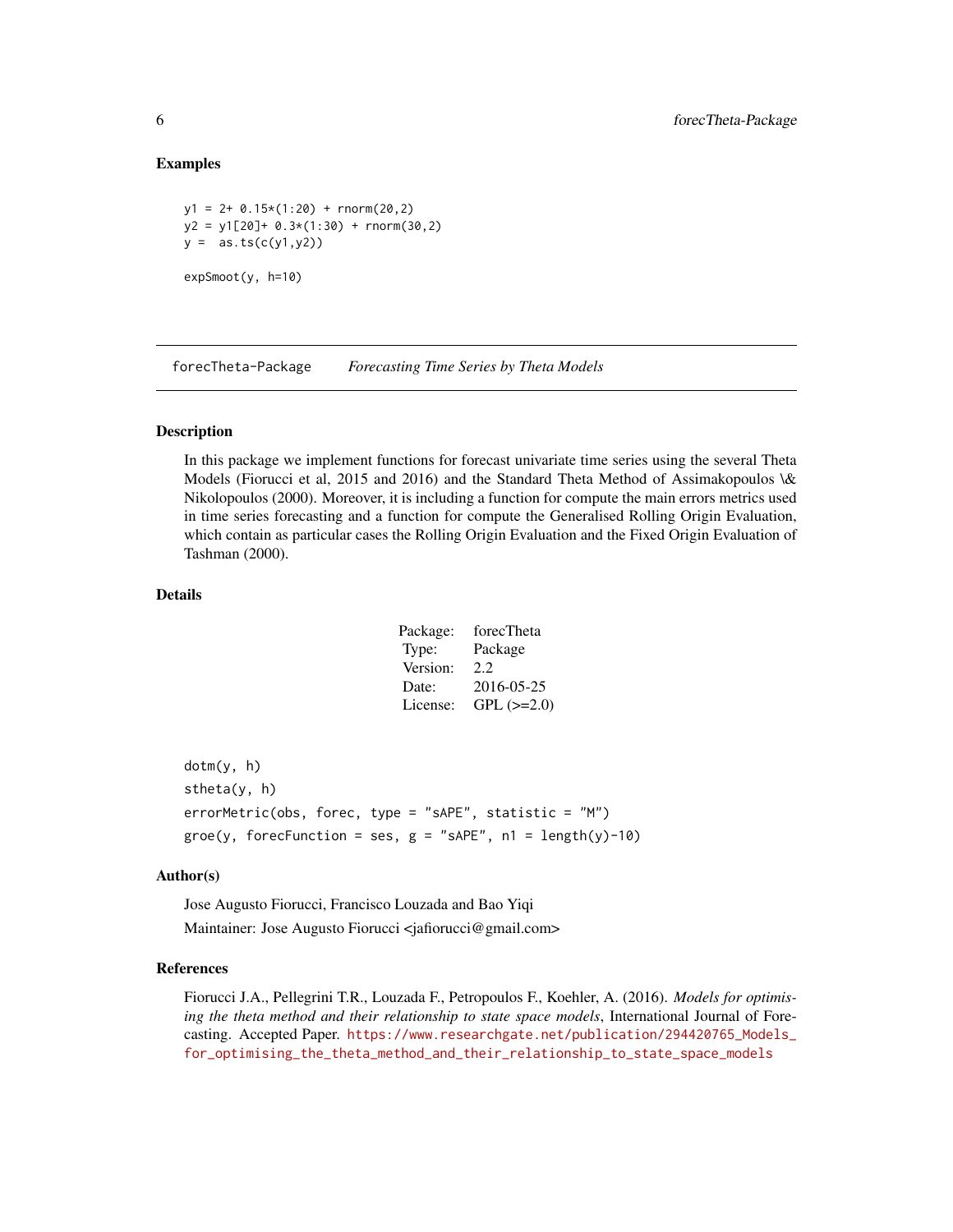## Examples

```
y1 = 2 + 0.15*(1:20) + \text{rnorm}(20, 2)y2 = y1[20] + 0.3*(1:30) + rnorm(30,2)y = as.ts(c(y1, y2))expSmoot(y, h=10)
```
forecTheta-Package *Forecasting Time Series by Theta Models*

#### <span id="page-5-1"></span>Description

In this package we implement functions for forecast univariate time series using the several Theta Models (Fiorucci et al, 2015 and 2016) and the Standard Theta Method of Assimakopoulos \& Nikolopoulos (2000). Moreover, it is including a function for compute the main errors metrics used in time series forecasting and a function for compute the Generalised Rolling Origin Evaluation, which contain as particular cases the Rolling Origin Evaluation and the Fixed Origin Evaluation of Tashman (2000).

#### Details

| forecTheta        |
|-------------------|
| Package           |
| 2.2.              |
| 2016-05-25        |
| $GPL$ ( $>=2.0$ ) |
|                   |

dotm(y, h) stheta(y, h) errorMetric(obs, forec, type = "sAPE", statistic = "M")  $groe(y, forceFunction = ses, g = "sAPE", n1 = length(y)-10)$ 

#### Author(s)

Jose Augusto Fiorucci, Francisco Louzada and Bao Yiqi Maintainer: Jose Augusto Fiorucci <jafiorucci@gmail.com>

#### References

Fiorucci J.A., Pellegrini T.R., Louzada F., Petropoulos F., Koehler, A. (2016). *Models for optimising the theta method and their relationship to state space models*, International Journal of Forecasting. Accepted Paper. [https://www.researchgate.net/publication/294420765\\_Models\\_](https://www.researchgate.net/publication/294420765_Models_for_optimising_the_theta_method_and_their_relationship_to_state_space_models) [for\\_optimising\\_the\\_theta\\_method\\_and\\_their\\_relationship\\_to\\_state\\_space\\_models](https://www.researchgate.net/publication/294420765_Models_for_optimising_the_theta_method_and_their_relationship_to_state_space_models)

<span id="page-5-0"></span>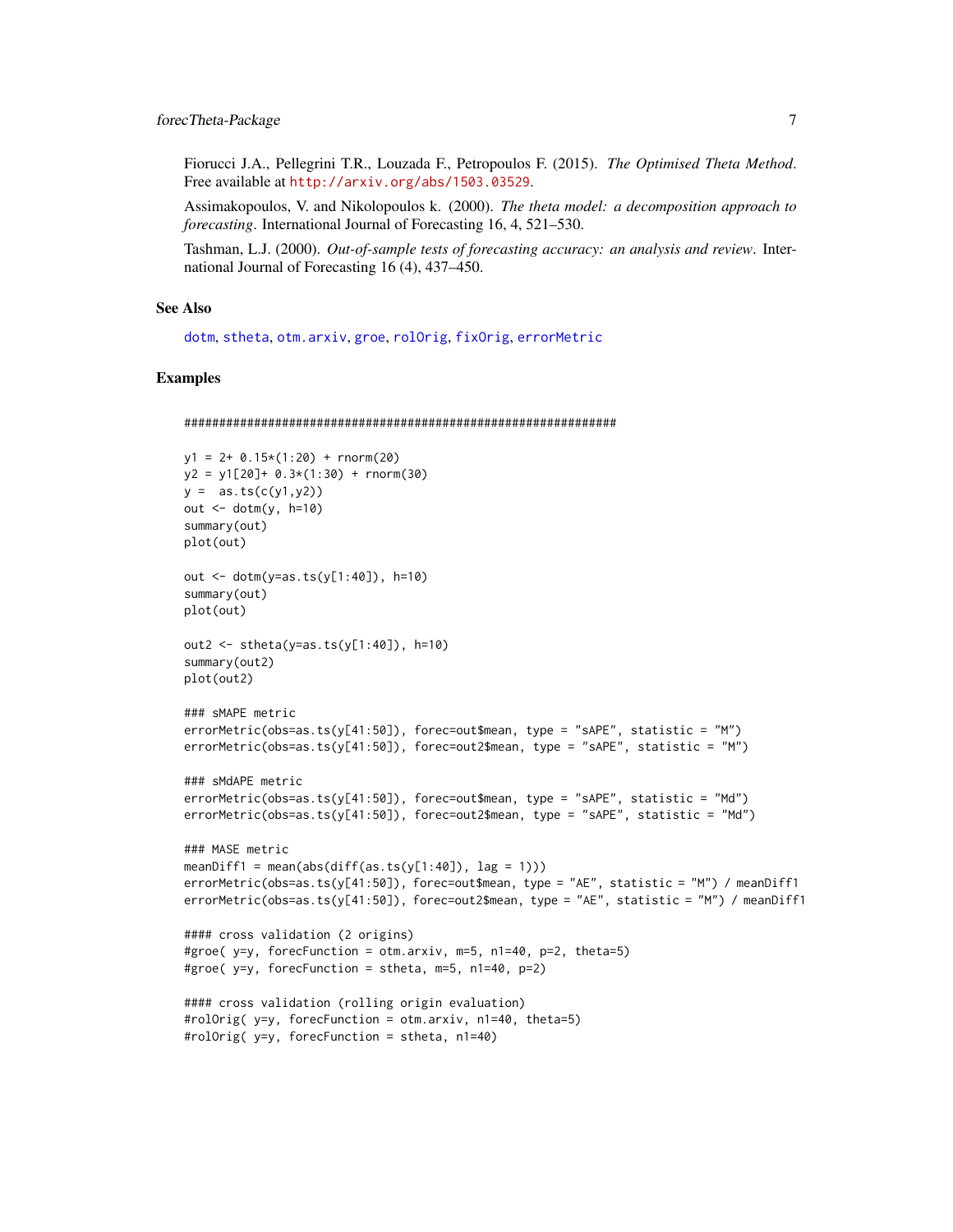<span id="page-6-0"></span>Fiorucci J.A., Pellegrini T.R., Louzada F., Petropoulos F. (2015). *The Optimised Theta Method*. Free available at <http://arxiv.org/abs/1503.03529>.

Assimakopoulos, V. and Nikolopoulos k. (2000). *The theta model: a decomposition approach to forecasting*. International Journal of Forecasting 16, 4, 521–530.

Tashman, L.J. (2000). *Out-of-sample tests of forecasting accuracy: an analysis and review*. International Journal of Forecasting 16 (4), 437–450.

#### See Also

[dotm](#page-10-1), [stheta](#page-10-1), [otm.arxiv](#page-7-1), [groe](#page-1-1), [rolOrig](#page-1-1), [fixOrig](#page-1-1), [errorMetric](#page-2-1)

```
##############################################################
y1 = 2+ 0.15*(1:20) + rnorm(20)
y2 = y1[20] + 0.3*(1:30) + rnorm(30)y = as.ts(c(y1, y2))out \le dotm(y, h=10)
summary(out)
plot(out)
out <- dotm(y=as.ts(y[1:40]), h=10)
summary(out)
plot(out)
out2 <- stheta(y=as.ts(y[1:40]), h=10)
summary(out2)
plot(out2)
### sMAPE metric
errorMetric(obs=as.ts(y[41:50]), forec=out$mean, type = "sAPE", statistic = "M")
errorMetric(obs=as.ts(y[41:50]), forec=out2$mean, type = "sAPE", statistic = "M")
### sMdAPE metric
errorMetric(obs=as.ts(y[41:50]), forec=out$mean, type = "sAPE", statistic = "Md")
errorMetric(obs=as.ts(y[41:50]), forec=out2$mean, type = "sAPE", statistic = "Md")
### MASE metric
meanDiff1 = mean(abs(diff(as.ts(y[1:40]), lag = 1)))
errorMetric(obs=as.ts(y[41:50]), forec=out$mean, type = "AE", statistic = "M") / meanDiff1
errorMetric(obs=as.ts(y[41:50]), forec=out2$mean, type = "AE", statistic = "M") / meanDiff1
#### cross validation (2 origins)
#groe( y=y, forecFunction = otm.arxiv, m=5, n1=40, p=2, theta=5)
#groe( y=y, forecFunction = stheta, m=5, n1=40, p=2)
#### cross validation (rolling origin evaluation)
#rolOrig( y=y, forecFunction = otm.arxiv, n1=40, theta=5)
#rolOrig( y=y, forecFunction = stheta, n1=40)
```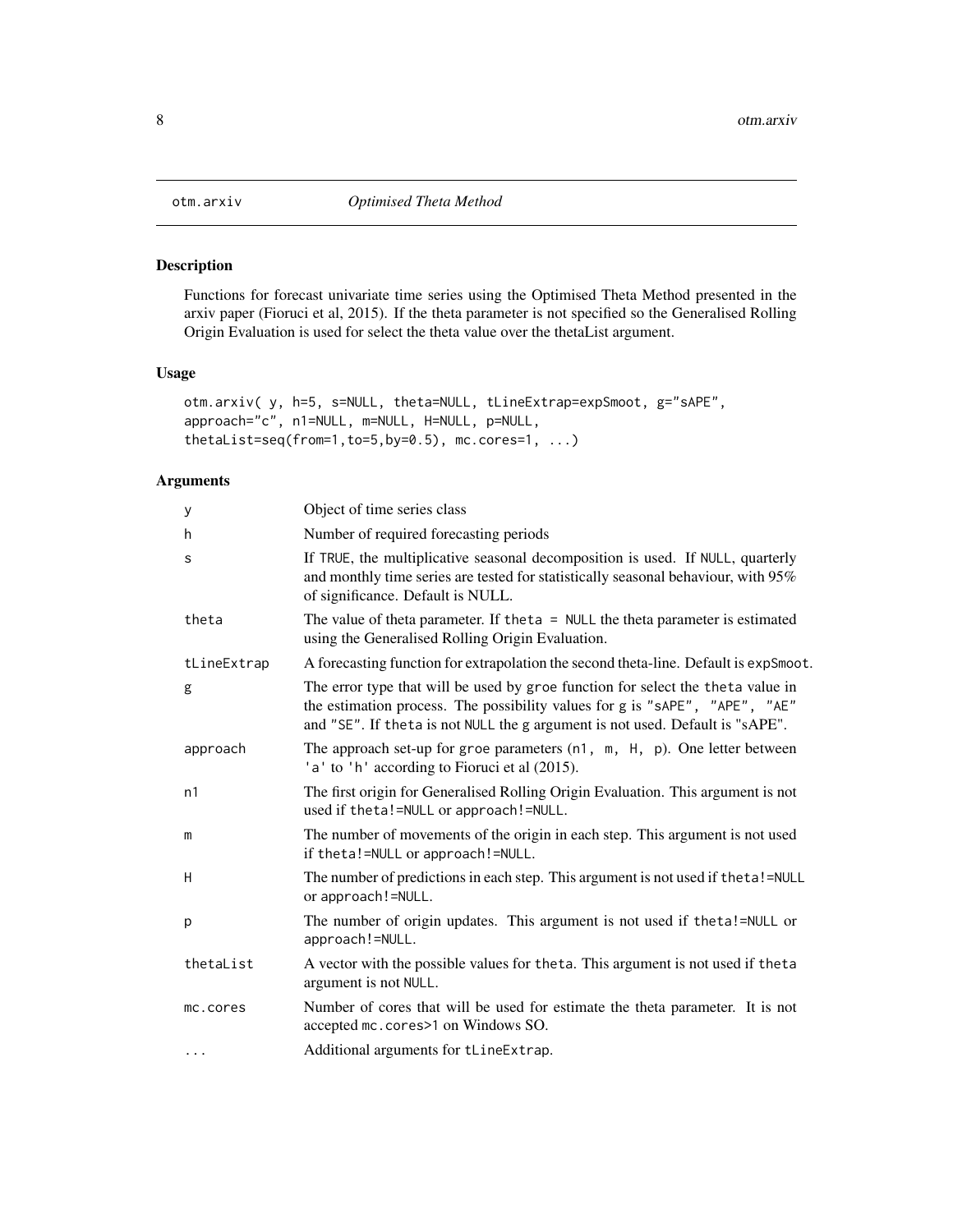<span id="page-7-1"></span><span id="page-7-0"></span>

## Description

Functions for forecast univariate time series using the Optimised Theta Method presented in the arxiv paper (Fioruci et al, 2015). If the theta parameter is not specified so the Generalised Rolling Origin Evaluation is used for select the theta value over the thetaList argument.

## Usage

```
otm.arxiv( y, h=5, s=NULL, theta=NULL, tLineExtrap=expSmoot, g="sAPE",
approach="c", n1=NULL, m=NULL, H=NULL, p=NULL,
thetaList=seq(from=1,to=5,by=0.5), mc.cores=1, ...)
```
## Arguments

| У           | Object of time series class                                                                                                                                                                                                                     |
|-------------|-------------------------------------------------------------------------------------------------------------------------------------------------------------------------------------------------------------------------------------------------|
| h           | Number of required forecasting periods                                                                                                                                                                                                          |
| S           | If TRUE, the multiplicative seasonal decomposition is used. If NULL, quarterly<br>and monthly time series are tested for statistically seasonal behaviour, with 95%<br>of significance. Default is NULL.                                        |
| theta       | The value of theta parameter. If the $t = NULL$ the theta parameter is estimated<br>using the Generalised Rolling Origin Evaluation.                                                                                                            |
| tLineExtrap | A forecasting function for extrapolation the second theta-line. Default is expSmoot.                                                                                                                                                            |
| g           | The error type that will be used by groe function for select the theta value in<br>the estimation process. The possibility values for g is "sAPE", "APE", "AE"<br>and "SE". If theta is not NULL the g argument is not used. Default is "sAPE". |
| approach    | The approach set-up for groe parameters $(n1, m, H, p)$ . One letter between<br>'a' to 'h' according to Fioruci et al (2015).                                                                                                                   |
| n1          | The first origin for Generalised Rolling Origin Evaluation. This argument is not<br>used if theta!=NULL or approach!=NULL.                                                                                                                      |
| m           | The number of movements of the origin in each step. This argument is not used<br>if theta!=NULL or approach!=NULL.                                                                                                                              |
| Н           | The number of predictions in each step. This argument is not used if theta!=NULL<br>or approach!=NULL.                                                                                                                                          |
| p           | The number of origin updates. This argument is not used if theta!=NULL or<br>approach!=NULL.                                                                                                                                                    |
| thetaList   | A vector with the possible values for the ta. This argument is not used if the ta<br>argument is not NULL.                                                                                                                                      |
| mc.cores    | Number of cores that will be used for estimate the theta parameter. It is not<br>accepted mc. cores > 1 on Windows SO.                                                                                                                          |
| $\cdots$    | Additional arguments for tLineExtrap.                                                                                                                                                                                                           |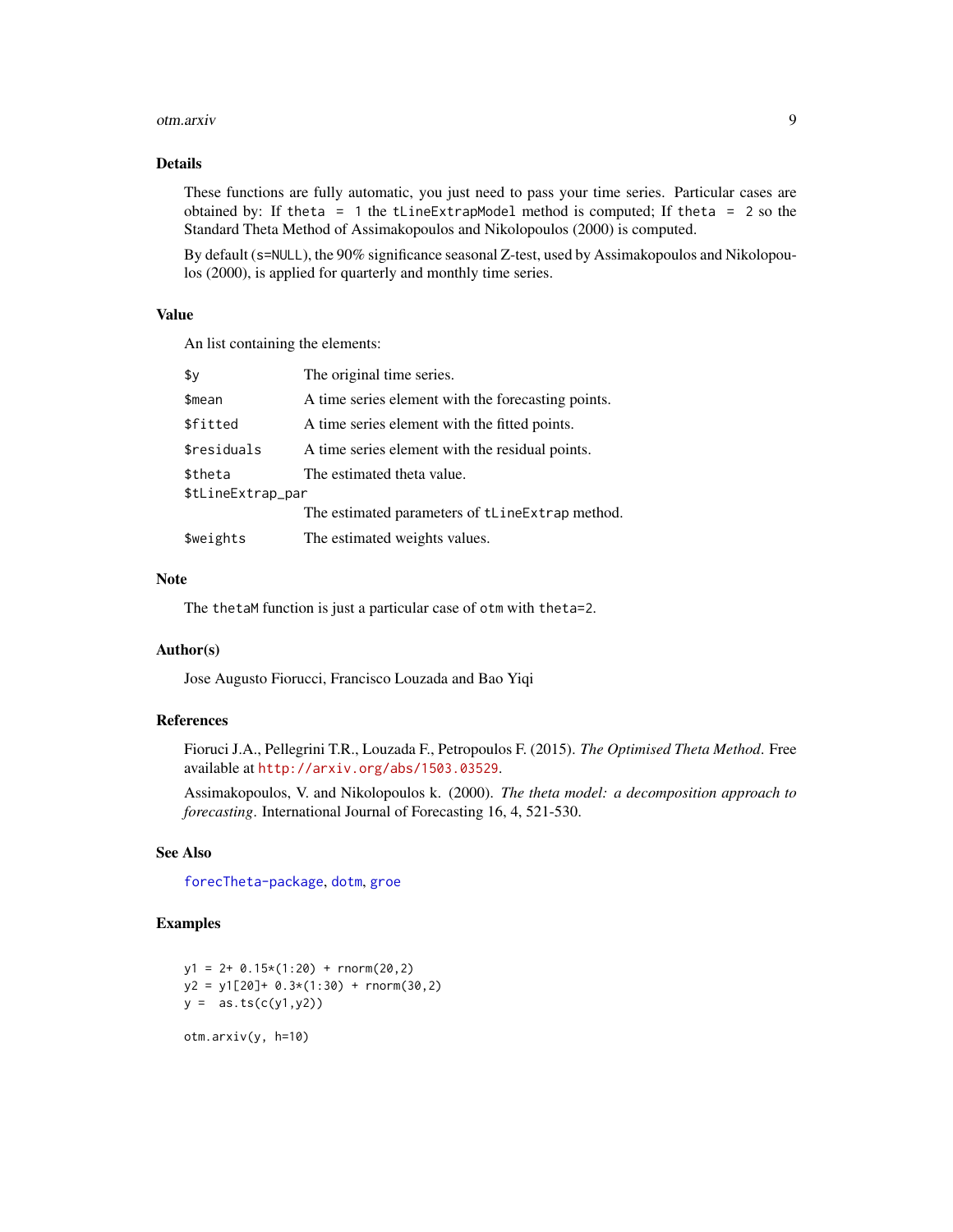#### <span id="page-8-0"></span>otm.arxiv 9

## Details

These functions are fully automatic, you just need to pass your time series. Particular cases are obtained by: If theta = 1 the tLineExtrapModel method is computed; If theta = 2 so the Standard Theta Method of Assimakopoulos and Nikolopoulos (2000) is computed.

By default (s=NULL), the 90% significance seasonal Z-test, used by Assimakopoulos and Nikolopoulos (2000), is applied for quarterly and monthly time series.

#### Value

An list containing the elements:

| The original time series.                          |
|----------------------------------------------------|
| A time series element with the forecasting points. |
| A time series element with the fitted points.      |
| A time series element with the residual points.    |
| The estimated theta value.                         |
| \$tLineExtrap_par                                  |
| The estimated parameters of tLineExtrap method.    |
| The estimated weights values.                      |
|                                                    |

#### Note

The thetaM function is just a particular case of otm with theta=2.

## Author(s)

Jose Augusto Fiorucci, Francisco Louzada and Bao Yiqi

## References

Fioruci J.A., Pellegrini T.R., Louzada F., Petropoulos F. (2015). *The Optimised Theta Method*. Free available at <http://arxiv.org/abs/1503.03529>.

Assimakopoulos, V. and Nikolopoulos k. (2000). *The theta model: a decomposition approach to forecasting*. International Journal of Forecasting 16, 4, 521-530.

## See Also

[forecTheta-package](#page-5-1), [dotm](#page-10-1), [groe](#page-1-1)

```
y1 = 2 + 0.15*(1:20) + \text{rnorm}(20,2)y2 = y1[20] + 0.3*(1:30) + rnorm(30,2)y = as.ts(c(y1, y2))
```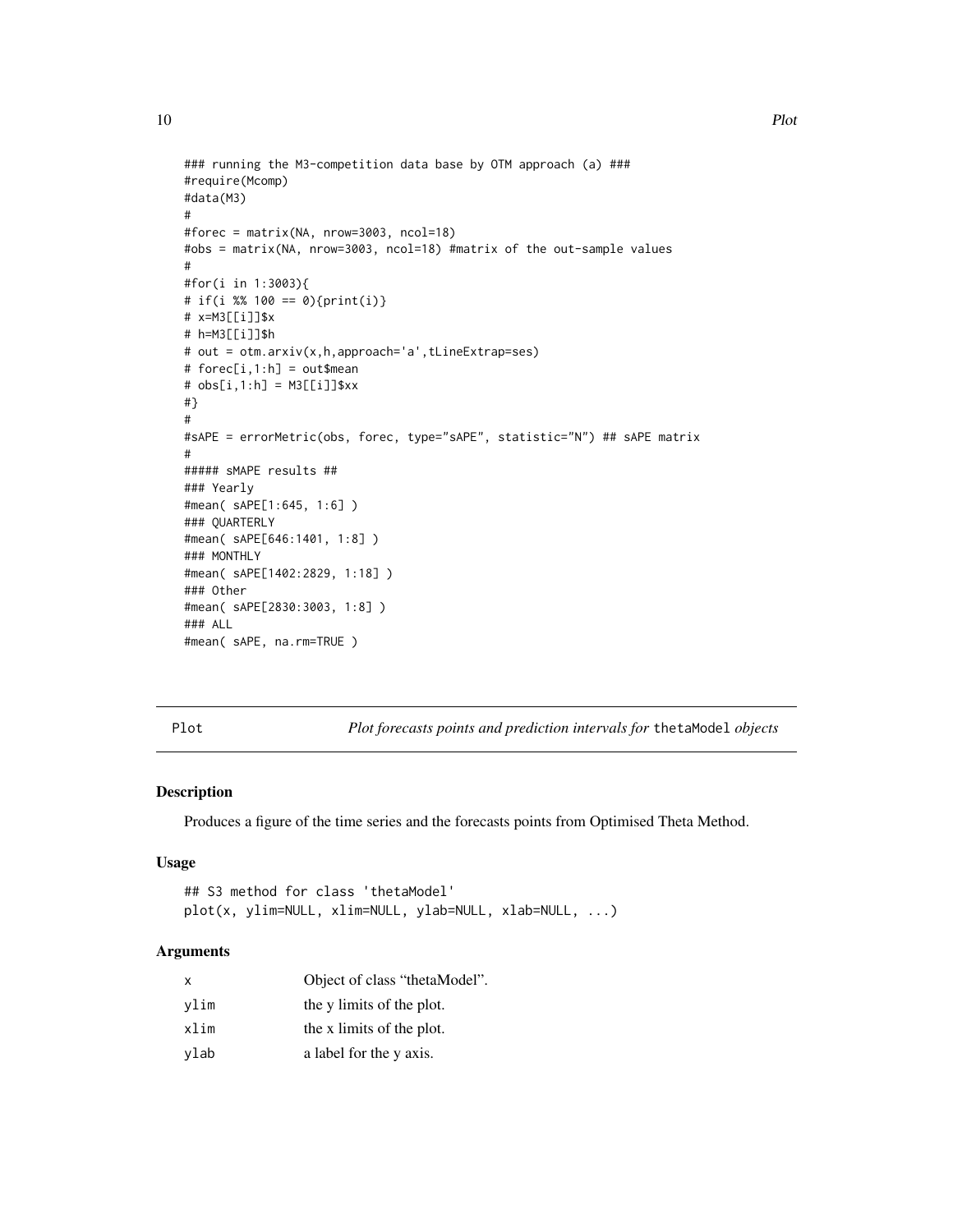```
### running the M3-competition data base by OTM approach (a) ###
#require(Mcomp)
#data(M3)
#
#forec = matrix(NA, nrow=3003, ncol=18)
#obs = matrix(NA, nrow=3003, ncol=18) #matrix of the out-sample values
#
#for(i in 1:3003){
# if(i %% 100 == 0){print(i)}
# x=M3[[i]]$x
# h=M3[[i]]$h
# out = otm.arxiv(x,h,approach='a',tLineExtrap=ses)
# forec[i,1:h] = out$mean
# obs[i,1:h] = M3[[i]]$xx
#}
#
#sAPE = errorMetric(obs, forec, type="sAPE", statistic="N") ## sAPE matrix
#
##### sMAPE results ##
### Yearly
#mean( sAPE[1:645, 1:6] )
### QUARTERLY
#mean( sAPE[646:1401, 1:8] )
### MONTHLY
#mean( sAPE[1402:2829, 1:18] )
### Other
#mean( sAPE[2830:3003, 1:8] )
### ALL
#mean( sAPE, na.rm=TRUE )
```
Plot *Plot forecasts points and prediction intervals for* thetaModel *objects*

## Description

Produces a figure of the time series and the forecasts points from Optimised Theta Method.

## Usage

```
## S3 method for class 'thetaModel'
plot(x, ylim=NULL, xlim=NULL, ylab=NULL, xlab=NULL, ...)
```
## Arguments

| x    | Object of class "thetaModel". |
|------|-------------------------------|
| vlim | the y limits of the plot.     |
| xlim | the x limits of the plot.     |
| vlab | a label for the y axis.       |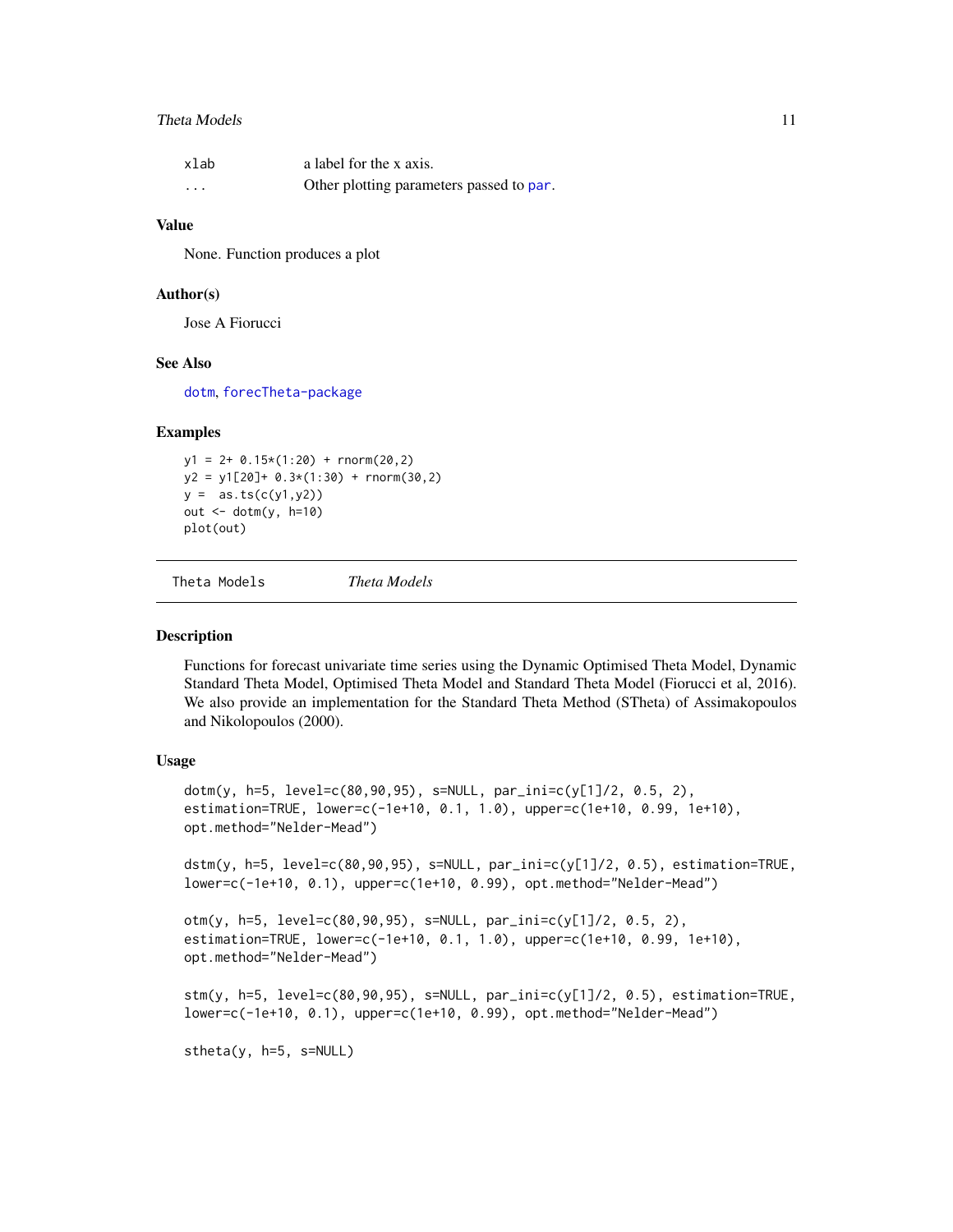## <span id="page-10-0"></span>Theta Models 11

| xlab                    | a label for the x axis.                  |
|-------------------------|------------------------------------------|
| $\cdot$ $\cdot$ $\cdot$ | Other plotting parameters passed to par. |

#### Value

None. Function produces a plot

#### Author(s)

Jose A Fiorucci

#### See Also

[dotm](#page-10-1), [forecTheta-package](#page-5-1)

## Examples

 $y1 = 2 + 0.15*(1:20) + \text{rnorm}(20.2)$  $y2 = y1[20] + 0.3*(1:30) + rnorm(30,2)$  $y = as.ts(c(y1, y2))$ out <- dotm(y, h=10) plot(out)

Theta Models *Theta Models*

#### <span id="page-10-1"></span>Description

Functions for forecast univariate time series using the Dynamic Optimised Theta Model, Dynamic Standard Theta Model, Optimised Theta Model and Standard Theta Model (Fiorucci et al, 2016). We also provide an implementation for the Standard Theta Method (STheta) of Assimakopoulos and Nikolopoulos (2000).

### Usage

```
dotm(y, h=5, level=c(80,90,95), s=NULL, par_ini=c(y[1]/2, 0.5, 2),
estimation=TRUE, lower=c(-1e+10, 0.1, 1.0), upper=c(1e+10, 0.99, 1e+10),
opt.method="Nelder-Mead")
```
dstm(y, h=5, level=c(80,90,95), s=NULL, par\_ini=c(y[1]/2, 0.5), estimation=TRUE, lower=c(-1e+10, 0.1), upper=c(1e+10, 0.99), opt.method="Nelder-Mead")

```
otm(y, h=5, level=c(80,90,95), s=NULL, par_ini=c(y[1]/2, 0.5, 2),
estimation=TRUE, lower=c(-1e+10, 0.1, 1.0), upper=c(1e+10, 0.99, 1e+10),
opt.method="Nelder-Mead")
```

```
stm(y, h=5, level=c(80,90,95), s=NULL, par_ini=c(y[1]/2, 0.5), estimation=TRUE,
lower=c(-1e+10, 0.1), upper=c(1e+10, 0.99), opt.method="Nelder-Mead")
```
stheta(y, h=5, s=NULL)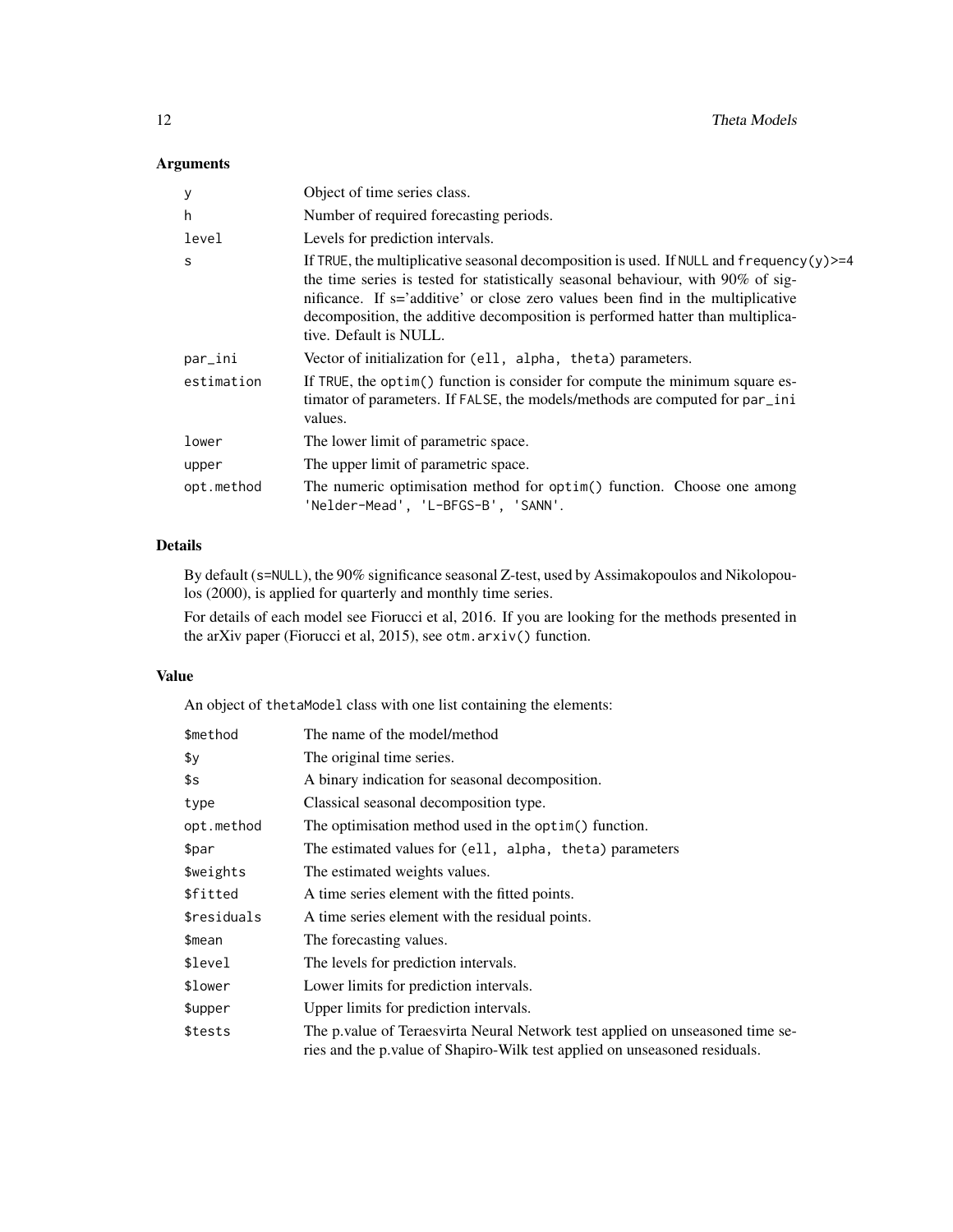## Arguments

| У            | Object of time series class.                                                                                                                                                                                                                                                                                                                                                |
|--------------|-----------------------------------------------------------------------------------------------------------------------------------------------------------------------------------------------------------------------------------------------------------------------------------------------------------------------------------------------------------------------------|
| h            | Number of required forecasting periods.                                                                                                                                                                                                                                                                                                                                     |
| level        | Levels for prediction intervals.                                                                                                                                                                                                                                                                                                                                            |
| <sub>S</sub> | If TRUE, the multiplicative seasonal decomposition is used. If NULL and $frequency(y)=4$<br>the time series is tested for statistically seasonal behaviour, with 90% of sig-<br>nificance. If s='additive' or close zero values been find in the multiplicative<br>decomposition, the additive decomposition is performed hatter than multiplica-<br>tive. Default is NULL. |
| par_ini      | Vector of initialization for (ell, alpha, theta) parameters.                                                                                                                                                                                                                                                                                                                |
| estimation   | If TRUE, the optim() function is consider for compute the minimum square es-<br>timator of parameters. If FALSE, the models/methods are computed for par_ini<br>values.                                                                                                                                                                                                     |
| lower        | The lower limit of parametric space.                                                                                                                                                                                                                                                                                                                                        |
| upper        | The upper limit of parametric space.                                                                                                                                                                                                                                                                                                                                        |
| opt.method   | The numeric optimisation method for optim() function. Choose one among<br>'Nelder-Mead', 'L-BFGS-B', 'SANN'.                                                                                                                                                                                                                                                                |

## Details

By default (s=NULL), the 90% significance seasonal Z-test, used by Assimakopoulos and Nikolopoulos (2000), is applied for quarterly and monthly time series.

For details of each model see Fiorucci et al, 2016. If you are looking for the methods presented in the arXiv paper (Fiorucci et al, 2015), see otm.arxiv() function.

## Value

An object of thetaModel class with one list containing the elements:

| \$method    | The name of the model/method                                                                                                                                 |  |
|-------------|--------------------------------------------------------------------------------------------------------------------------------------------------------------|--|
| \$у         | The original time series.                                                                                                                                    |  |
| \$s         | A binary indication for seasonal decomposition.                                                                                                              |  |
| type        | Classical seasonal decomposition type.                                                                                                                       |  |
| opt.method  | The optimisation method used in the optim() function.                                                                                                        |  |
| \$par       | The estimated values for (ell, alpha, theta) parameters                                                                                                      |  |
| \$weights   | The estimated weights values.                                                                                                                                |  |
| \$fitted    | A time series element with the fitted points.                                                                                                                |  |
| \$residuals | A time series element with the residual points.                                                                                                              |  |
| \$mean      | The forecasting values.                                                                                                                                      |  |
| \$level     | The levels for prediction intervals.                                                                                                                         |  |
| \$lower     | Lower limits for prediction intervals.                                                                                                                       |  |
| \$upper     | Upper limits for prediction intervals.                                                                                                                       |  |
| \$tests     | The p value of Teraesvirta Neural Network test applied on unseasoned time se-<br>ries and the p. value of Shapiro-Wilk test applied on unseasoned residuals. |  |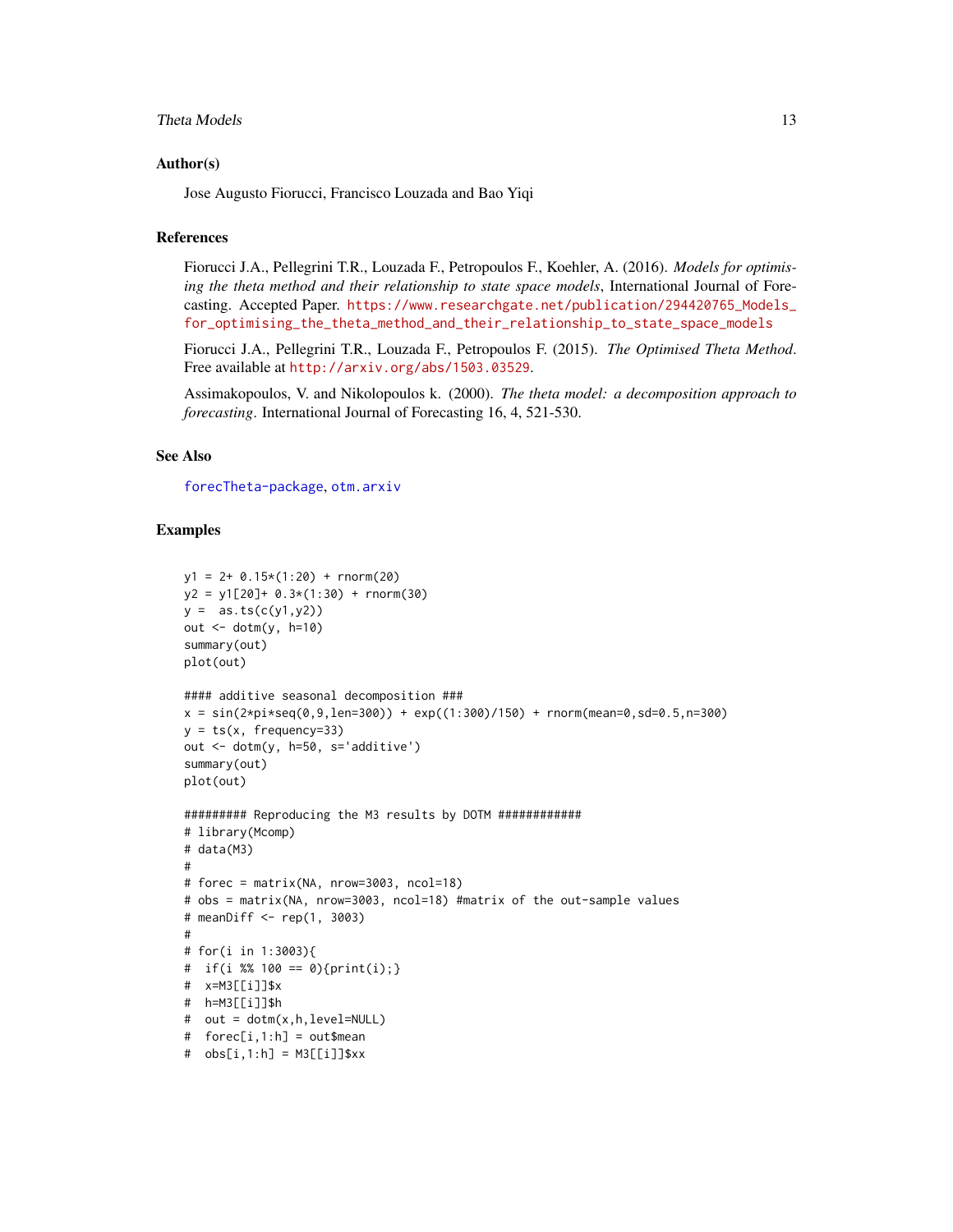## <span id="page-12-0"></span>Theta Models 13

#### Author(s)

Jose Augusto Fiorucci, Francisco Louzada and Bao Yiqi

#### References

Fiorucci J.A., Pellegrini T.R., Louzada F., Petropoulos F., Koehler, A. (2016). *Models for optimising the theta method and their relationship to state space models*, International Journal of Forecasting. Accepted Paper. [https://www.researchgate.net/publication/294420765\\_Models\\_](https://www.researchgate.net/publication/294420765_Models_for_optimising_the_theta_method_and_their_relationship_to_state_space_models) [for\\_optimising\\_the\\_theta\\_method\\_and\\_their\\_relationship\\_to\\_state\\_space\\_models](https://www.researchgate.net/publication/294420765_Models_for_optimising_the_theta_method_and_their_relationship_to_state_space_models)

Fiorucci J.A., Pellegrini T.R., Louzada F., Petropoulos F. (2015). *The Optimised Theta Method*. Free available at <http://arxiv.org/abs/1503.03529>.

Assimakopoulos, V. and Nikolopoulos k. (2000). *The theta model: a decomposition approach to forecasting*. International Journal of Forecasting 16, 4, 521-530.

## See Also

[forecTheta-package](#page-5-1), [otm.arxiv](#page-7-1)

```
y1 = 2 + 0.15*(1:20) + rnorm(20)y2 = y1[20] + 0.3*(1:30) + rnorm(30)y = as.ts(c(y1, y2))out \le dotm(y, h=10)
summary(out)
plot(out)
#### additive seasonal decomposition ###
x = sin(2*pi*seq(0, 9, len=300)) + exp((1:300)/150) + rnorm(mean=0, sd=0.5, n=300)y = ts(x, frequency=33)out <- dotm(y, h=50, s='additive')
summary(out)
plot(out)
######### Reproducing the M3 results by DOTM ############
# library(Mcomp)
# data(M3)
#
# forec = matrix(NA, nrow=3003, ncol=18)
# obs = matrix(NA, nrow=3003, ncol=18) #matrix of the out-sample values
# meanDiff <- rep(1, 3003)
#
# for(i in 1:3003){
# if(i %% 100 == 0){print(i);}
# x=M3[[i]]$x
# h=M3[[i]]$h
# out = dotm(x,h,level=NULL)
# forec[i,1:h] = out$mean
# obs[i,1:h] = M3[[i]]$xx
```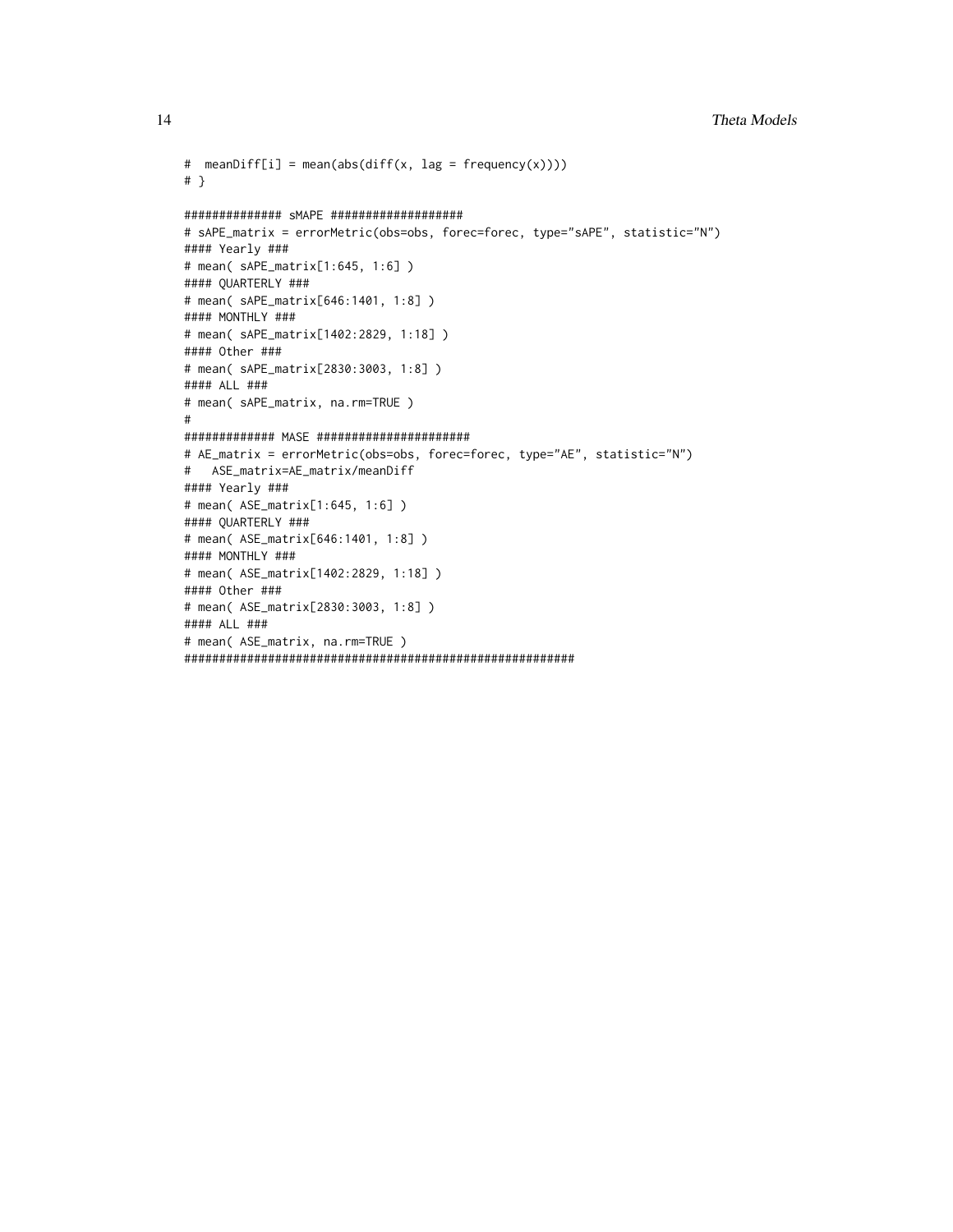```
14 Theta Models
```

```
# meanDiff[i] = mean(abs(diff(x, lag = frequency(x))))
# }
############## sMAPE ###################
# sAPE_matrix = errorMetric(obs=obs, forec=forec, type="sAPE", statistic="N")
#### Yearly ###
# mean( sAPE_matrix[1:645, 1:6] )
#### QUARTERLY ###
# mean( sAPE_matrix[646:1401, 1:8] )
#### MONTHLY ###
# mean( sAPE_matrix[1402:2829, 1:18] )
#### Other ###
# mean( sAPE_matrix[2830:3003, 1:8] )
#### ALL ###
# mean( sAPE_matrix, na.rm=TRUE )
#
############# MASE ######################
# AE_matrix = errorMetric(obs=obs, forec=forec, type="AE", statistic="N")
# ASE_matrix=AE_matrix/meanDiff
#### Yearly ###
# mean( ASE_matrix[1:645, 1:6] )
#### QUARTERLY ###
# mean( ASE_matrix[646:1401, 1:8] )
#### MONTHLY ###
# mean( ASE_matrix[1402:2829, 1:18] )
#### Other ###
# mean( ASE_matrix[2830:3003, 1:8] )
#### ALL ###
# mean( ASE_matrix, na.rm=TRUE )
########################################################
```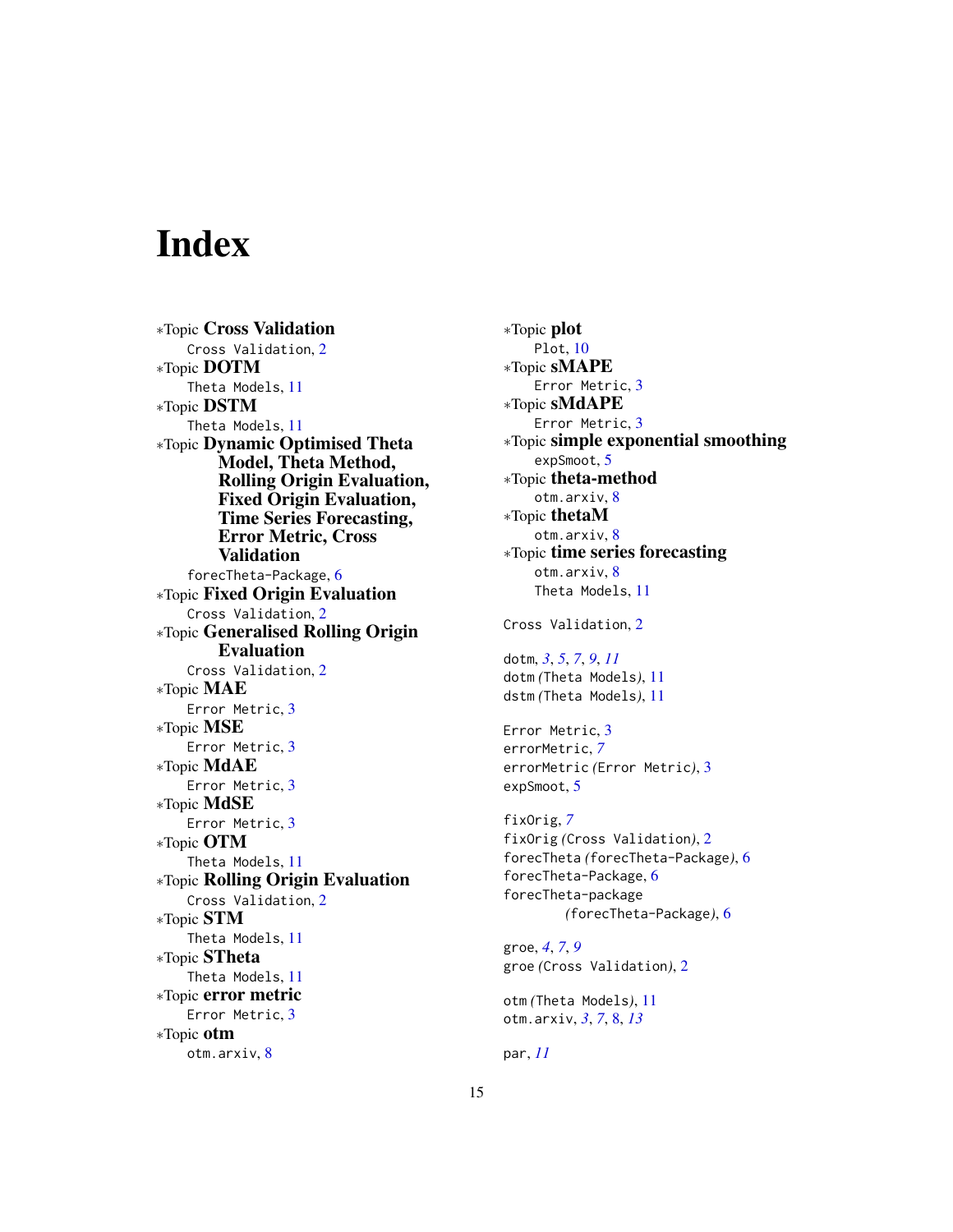# <span id="page-14-0"></span>Index

∗Topic Cross Validation Cross Validation, [2](#page-1-0) ∗Topic DOTM Theta Models, [11](#page-10-0) ∗Topic DSTM Theta Models, [11](#page-10-0) ∗Topic Dynamic Optimised Theta Model, Theta Method, Rolling Origin Evaluation, Fixed Origin Evaluation, Time Series Forecasting, Error Metric, Cross Validation forecTheta-Package, [6](#page-5-0) ∗Topic Fixed Origin Evaluation Cross Validation, [2](#page-1-0) ∗Topic Generalised Rolling Origin Evaluation Cross Validation, [2](#page-1-0) ∗Topic MAE Error Metric, [3](#page-2-0) ∗Topic MSE Error Metric, [3](#page-2-0) ∗Topic MdAE Error Metric, [3](#page-2-0) ∗Topic MdSE Error Metric, [3](#page-2-0) ∗Topic OTM Theta Models, [11](#page-10-0) ∗Topic Rolling Origin Evaluation Cross Validation, [2](#page-1-0) ∗Topic STM Theta Models, [11](#page-10-0) ∗Topic STheta Theta Models, [11](#page-10-0) ∗Topic error metric Error Metric, [3](#page-2-0) ∗Topic otm otm.arxiv, [8](#page-7-0)

∗Topic plot Plot, [10](#page-9-0) ∗Topic sMAPE Error Metric, [3](#page-2-0) ∗Topic sMdAPE Error Metric, [3](#page-2-0) ∗Topic simple exponential smoothing expSmoot, [5](#page-4-0) ∗Topic theta-method otm.arxiv, [8](#page-7-0) ∗Topic thetaM otm.arxiv, [8](#page-7-0) ∗Topic time series forecasting otm.arxiv, [8](#page-7-0) Theta Models, [11](#page-10-0) Cross Validation, [2](#page-1-0) dotm, *[3](#page-2-0)*, *[5](#page-4-0)*, *[7](#page-6-0)*, *[9](#page-8-0)*, *[11](#page-10-0)* dotm *(*Theta Models*)*, [11](#page-10-0) dstm *(*Theta Models*)*, [11](#page-10-0) Error Metric, [3](#page-2-0) errorMetric, *[7](#page-6-0)* errorMetric *(*Error Metric*)*, [3](#page-2-0) expSmoot, [5](#page-4-0) fixOrig, *[7](#page-6-0)* fixOrig *(*Cross Validation*)*, [2](#page-1-0) forecTheta *(*forecTheta-Package*)*, [6](#page-5-0) forecTheta-Package, [6](#page-5-0) forecTheta-package *(*forecTheta-Package*)*, [6](#page-5-0) groe, *[4](#page-3-0)*, *[7](#page-6-0)*, *[9](#page-8-0)* groe *(*Cross Validation*)*, [2](#page-1-0) otm *(*Theta Models*)*, [11](#page-10-0) otm.arxiv, *[3](#page-2-0)*, *[7](#page-6-0)*, [8,](#page-7-0) *[13](#page-12-0)*

par, *[11](#page-10-0)*